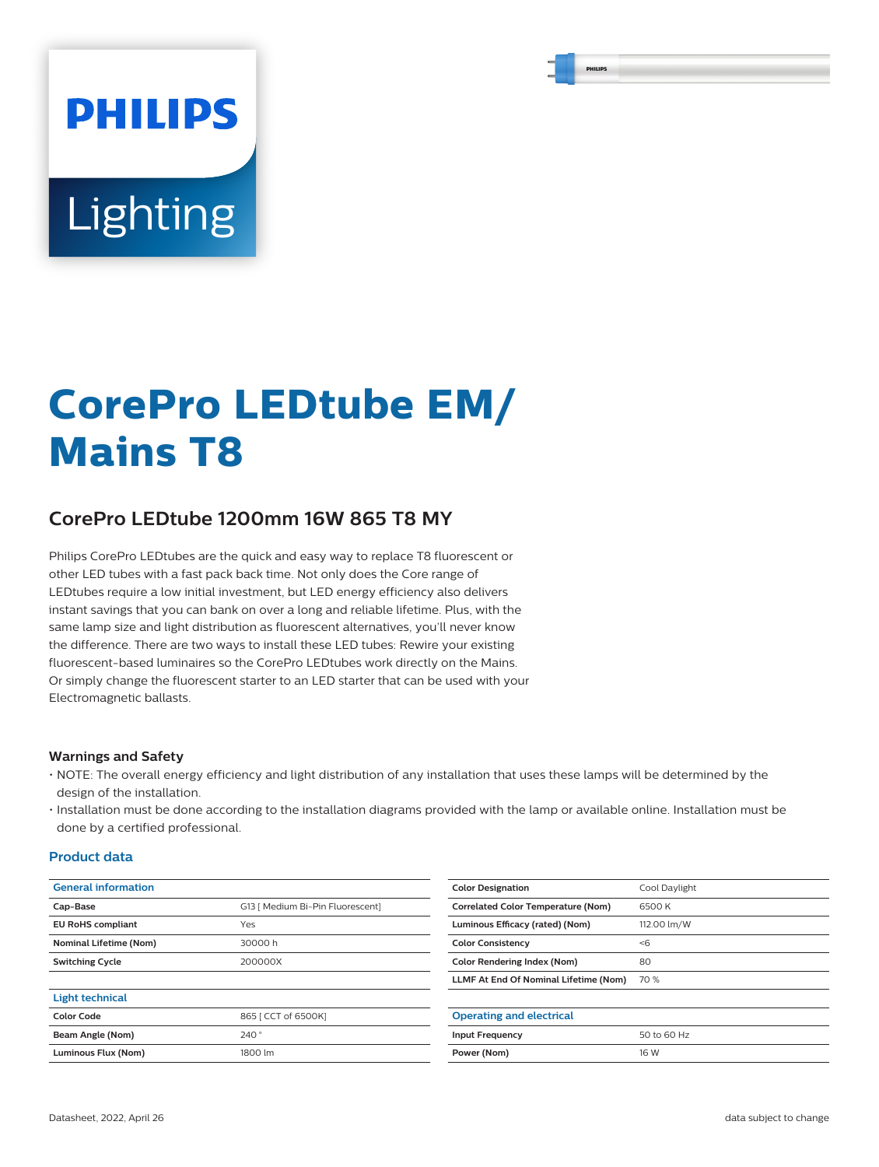# **PHILIPS Lighting**

# **CorePro LEDtube EM/ Mains T8**

# **CorePro LEDtube 1200mm 16W 865 T8 MY**

Philips CorePro LEDtubes are the quick and easy way to replace T8 fluorescent or other LED tubes with a fast pack back time. Not only does the Core range of LEDtubes require a low initial investment, but LED energy efficiency also delivers instant savings that you can bank on over a long and reliable lifetime. Plus, with the same lamp size and light distribution as fluorescent alternatives, you'll never know the difference. There are two ways to install these LED tubes: Rewire your existing fluorescent-based luminaires so the CorePro LEDtubes work directly on the Mains. Or simply change the fluorescent starter to an LED starter that can be used with your Electromagnetic ballasts.

#### **Warnings and Safety**

- NOTE: The overall energy efficiency and light distribution of any installation that uses these lamps will be determined by the design of the installation.
- Installation must be done according to the installation diagrams provided with the lamp or available online. Installation must be done by a certified professional.

#### **Product data**

| <b>General information</b> |                                  | <b>Color Designation</b>                  | Cool Daylight |
|----------------------------|----------------------------------|-------------------------------------------|---------------|
| Cap-Base                   | G13   Medium Bi-Pin Fluorescent] | <b>Correlated Color Temperature (Nom)</b> | 6500K         |
| <b>EU RoHS compliant</b>   | Yes                              | Luminous Efficacy (rated) (Nom)           | 112.00 lm/W   |
| Nominal Lifetime (Nom)     | 30000h                           | <b>Color Consistency</b>                  | < 6           |
| <b>Switching Cycle</b>     | 200000X                          | <b>Color Rendering Index (Nom)</b>        | 80            |
|                            |                                  | LLMF At End Of Nominal Lifetime (Nom)     | 70 %          |
| <b>Light technical</b>     |                                  |                                           |               |
| <b>Color Code</b>          | 865   CCT of 6500K]              | <b>Operating and electrical</b>           |               |
| Beam Angle (Nom)           | 240°                             | <b>Input Frequency</b>                    | 50 to 60 Hz   |
| Luminous Flux (Nom)        | 1800 lm                          | Power (Nom)                               | 16 W          |
|                            |                                  |                                           |               |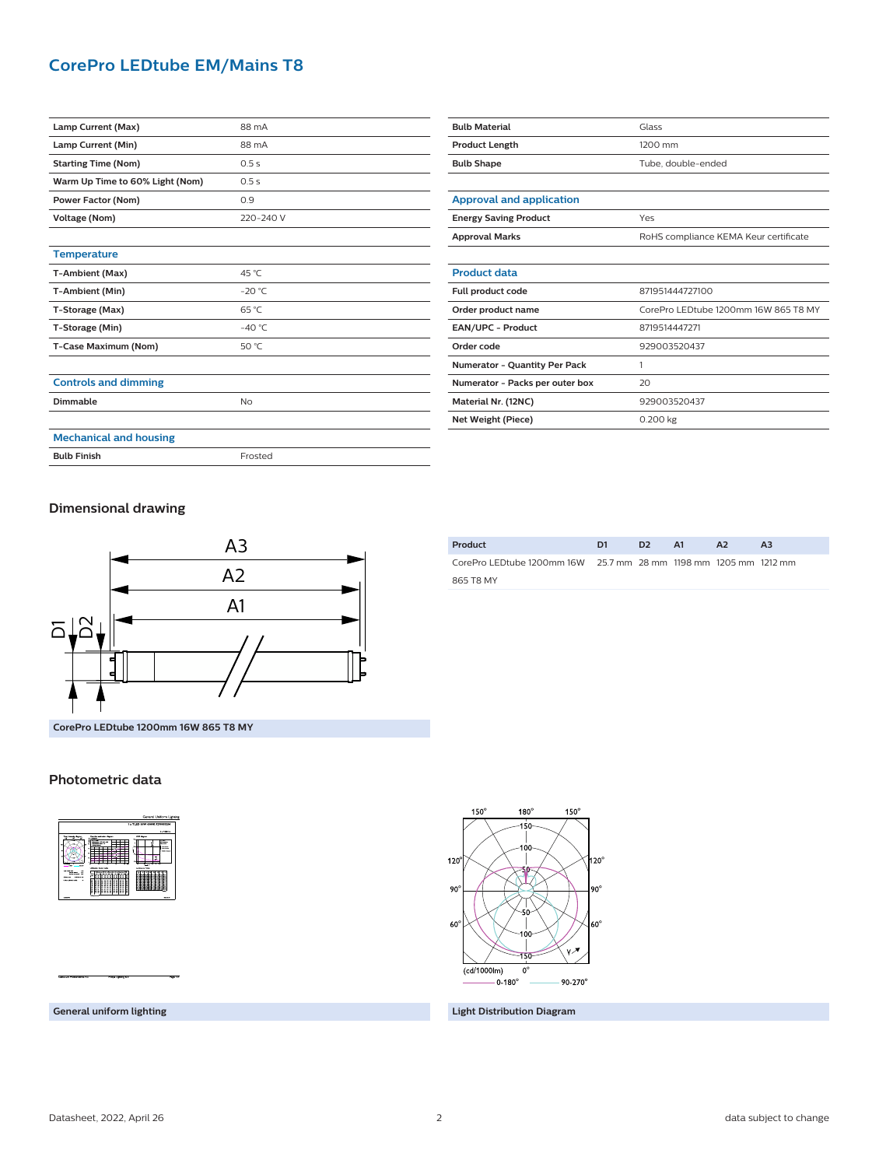### **CorePro LEDtube EM/Mains T8**

| Lamp Current (Max)              | 88 mA          |
|---------------------------------|----------------|
| Lamp Current (Min)              | 88 mA          |
| <b>Starting Time (Nom)</b>      | 0.5s           |
| Warm Up Time to 60% Light (Nom) | 0.5s           |
| Power Factor (Nom)              | 0.9            |
| Voltage (Nom)                   | 220-240 V      |
|                                 |                |
| <b>Temperature</b>              |                |
| T-Ambient (Max)                 | 45 °C          |
| T-Ambient (Min)                 | $-20 °C$       |
| T-Storage (Max)                 | $65^{\circ}$ C |
| T-Storage (Min)                 | $-40 °C$       |
| T-Case Maximum (Nom)            | 50 °C          |
|                                 |                |
| <b>Controls and dimming</b>     |                |
| Dimmable                        | No             |
|                                 |                |
| <b>Mechanical and housing</b>   |                |

| <b>Bulb Material</b>                 | Glass                                 |  |
|--------------------------------------|---------------------------------------|--|
| <b>Product Length</b>                | 1200 mm                               |  |
| <b>Bulb Shape</b>                    | Tube, double-ended                    |  |
|                                      |                                       |  |
| <b>Approval and application</b>      |                                       |  |
| <b>Energy Saving Product</b>         | Yes                                   |  |
| <b>Approval Marks</b>                | RoHS compliance KEMA Keur certificate |  |
|                                      |                                       |  |
| <b>Product data</b>                  |                                       |  |
| Full product code                    | 871951444727100                       |  |
| Order product name                   | CorePro LEDtube 1200mm 16W 865 T8 MY  |  |
| <b>EAN/UPC - Product</b>             | 8719514447271                         |  |
| Order code                           | 929003520437                          |  |
| <b>Numerator - Quantity Per Pack</b> | 1                                     |  |
| Numerator - Packs per outer box      | 20                                    |  |
| Material Nr. (12NC)                  | 929003520437                          |  |
| Net Weight (Piece)                   | 0.200 kg                              |  |

**Dimensional drawing**

**Bulb Finish** Frosted



CorePro LEDtube 1200mm 16W 25.7 mm 28 mm 1198 mm 1205 mm 1212 mm 865 T8 MY

**Product D1 D2 A1 A2 A3**

**CorePro LEDtube 1200mm 16W 865 T8 MY**

#### **Photometric data**



 $150^\circ$ 180  $150<sup>6</sup>$  $120<sup>6</sup>$  $1120^\circ$  $90<sup>°</sup>$ 90  $60^\circ$  $60^{\circ}$ Ĭγ∕\* (cd/1000lm)  $\mathbf{0}$  $-0.180^{\circ}$  $90 - 270$ 

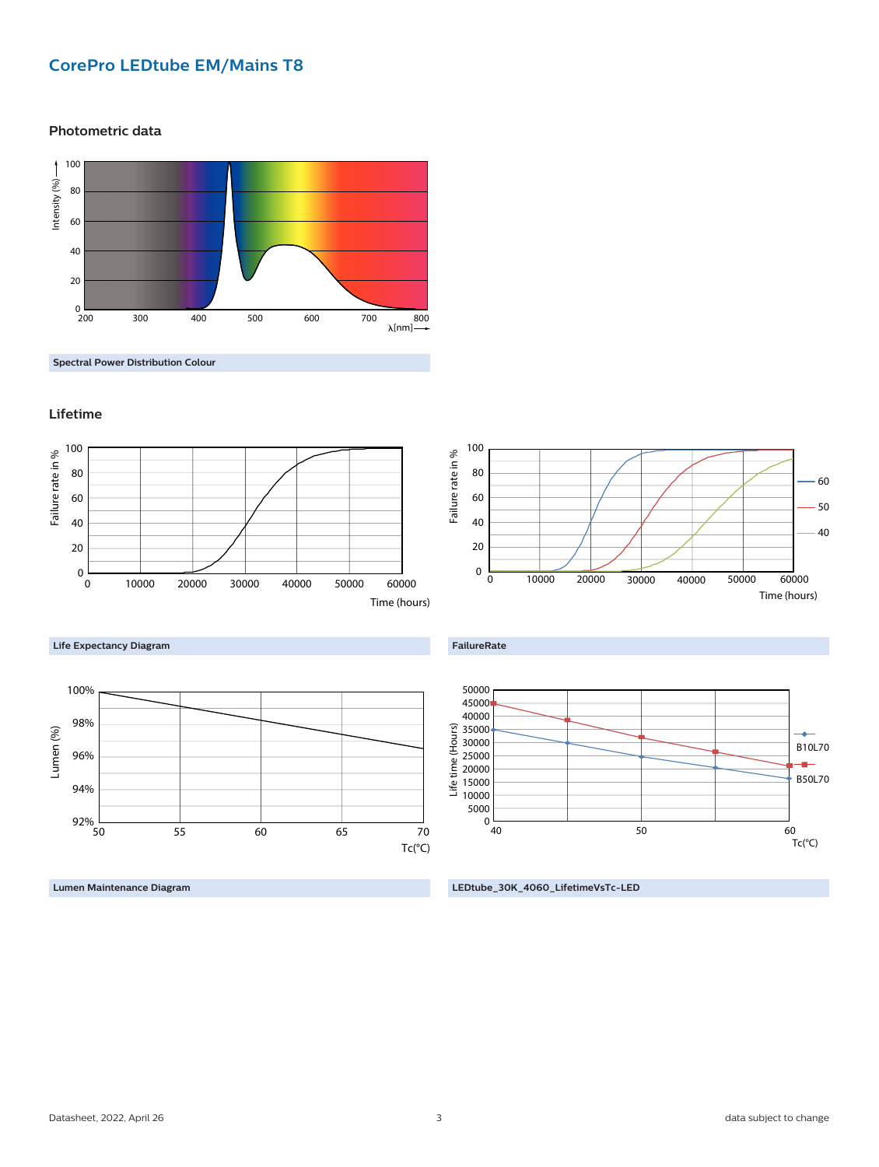# **CorePro LEDtube EM/Mains T8**

**Photometric data**



**Spectral Power Distribution Colour**







**Lumen Maintenance Diagram**





60 50 40